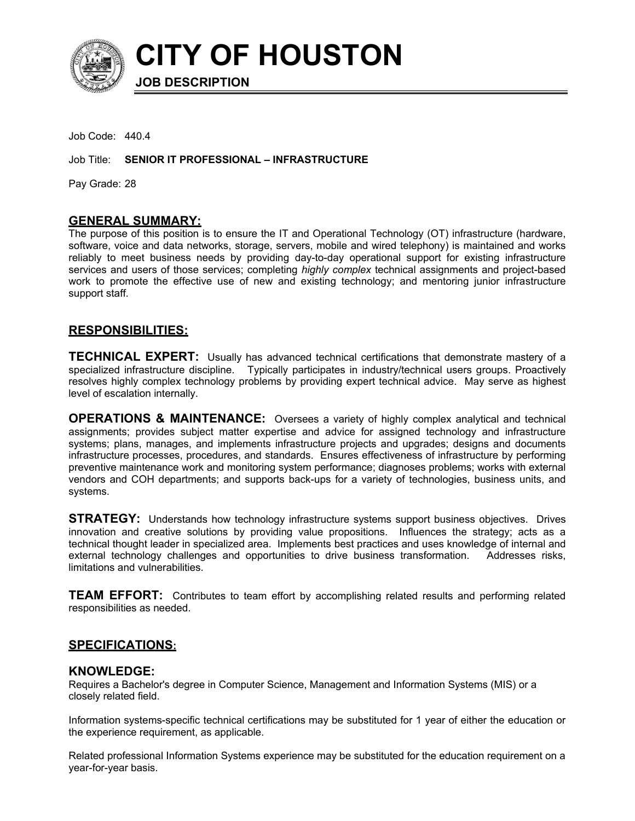

**CITY OF HOUSTON**

Job Code: 440.4

Job Title: **SENIOR IT PROFESSIONAL – INFRASTRUCTURE**

**JOB DESCRIPTION**

Pay Grade: 28

#### **GENERAL SUMMARY:**

The purpose of this position is to ensure the IT and Operational Technology (OT) infrastructure (hardware, software, voice and data networks, storage, servers, mobile and wired telephony) is maintained and works reliably to meet business needs by providing day-to-day operational support for existing infrastructure services and users of those services; completing *highly complex* technical assignments and project-based work to promote the effective use of new and existing technology; and mentoring junior infrastructure support staff.

## **RESPONSIBILITIES:**

**TECHNICAL EXPERT:** Usually has advanced technical certifications that demonstrate mastery of a specialized infrastructure discipline. Typically participates in industry/technical users groups. Proactively resolves highly complex technology problems by providing expert technical advice. May serve as highest level of escalation internally.

**OPERATIONS & MAINTENANCE:** Oversees a variety of highly complex analytical and technical assignments; provides subject matter expertise and advice for assigned technology and infrastructure systems; plans, manages, and implements infrastructure projects and upgrades; designs and documents infrastructure processes, procedures, and standards. Ensures effectiveness of infrastructure by performing preventive maintenance work and monitoring system performance; diagnoses problems; works with external vendors and COH departments; and supports back-ups for a variety of technologies, business units, and systems.

**STRATEGY:** Understands how technology infrastructure systems support business objectives. Drives innovation and creative solutions by providing value propositions. Influences the strategy; acts as a technical thought leader in specialized area. Implements best practices and uses knowledge of internal and external technology challenges and opportunities to drive business transformation. Addresses risks, limitations and vulnerabilities.

**TEAM EFFORT:** Contributes to team effort by accomplishing related results and performing related responsibilities as needed.

## **SPECIFICATIONS:**

## **KNOWLEDGE:**

Requires a Bachelor's degree in Computer Science, Management and Information Systems (MIS) or a closely related field.

Information systems-specific technical certifications may be substituted for 1 year of either the education or the experience requirement, as applicable.

Related professional Information Systems experience may be substituted for the education requirement on a year-for-year basis.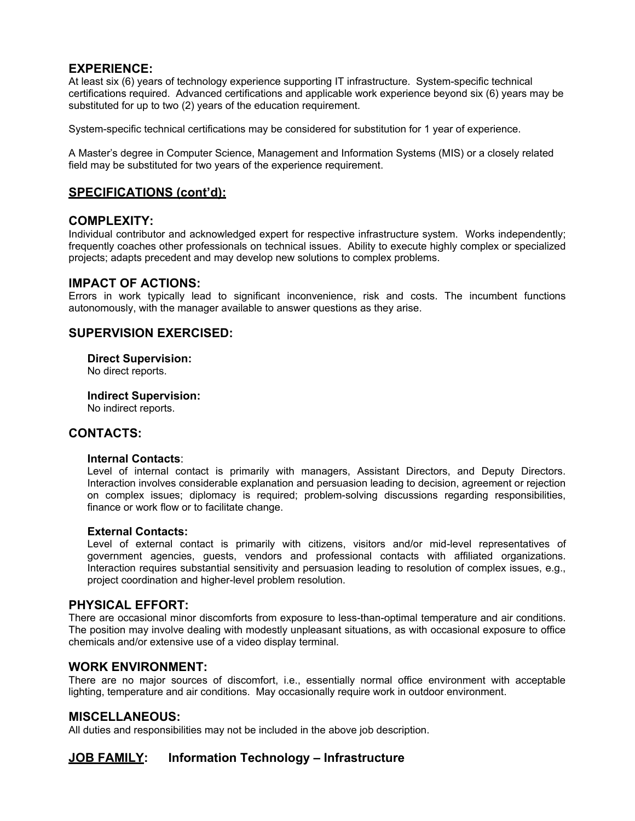## **EXPERIENCE:**

At least six (6) years of technology experience supporting IT infrastructure. System-specific technical certifications required. Advanced certifications and applicable work experience beyond six (6) years may be substituted for up to two (2) years of the education requirement.

System-specific technical certifications may be considered for substitution for 1 year of experience.

A Master's degree in Computer Science, Management and Information Systems (MIS) or a closely related field may be substituted for two years of the experience requirement.

# **SPECIFICATIONS (cont'd):**

## **COMPLEXITY:**

Individual contributor and acknowledged expert for respective infrastructure system. Works independently; frequently coaches other professionals on technical issues. Ability to execute highly complex or specialized projects; adapts precedent and may develop new solutions to complex problems.

## **IMPACT OF ACTIONS:**

Errors in work typically lead to significant inconvenience, risk and costs. The incumbent functions autonomously, with the manager available to answer questions as they arise.

# **SUPERVISION EXERCISED:**

**Direct Supervision:**

No direct reports.

**Indirect Supervision:**

No indirect reports.

## **CONTACTS:**

#### **Internal Contacts**:

Level of internal contact is primarily with managers, Assistant Directors, and Deputy Directors. Interaction involves considerable explanation and persuasion leading to decision, agreement or rejection on complex issues; diplomacy is required; problem-solving discussions regarding responsibilities, finance or work flow or to facilitate change.

#### **External Contacts:**

Level of external contact is primarily with citizens, visitors and/or mid-level representatives of government agencies, guests, vendors and professional contacts with affiliated organizations. Interaction requires substantial sensitivity and persuasion leading to resolution of complex issues, e.g., project coordination and higher-level problem resolution.

## **PHYSICAL EFFORT:**

There are occasional minor discomforts from exposure to less-than-optimal temperature and air conditions. The position may involve dealing with modestly unpleasant situations, as with occasional exposure to office chemicals and/or extensive use of a video display terminal.

## **WORK ENVIRONMENT:**

There are no major sources of discomfort, i.e., essentially normal office environment with acceptable lighting, temperature and air conditions. May occasionally require work in outdoor environment.

## **MISCELLANEOUS:**

All duties and responsibilities may not be included in the above job description.

# **JOB FAMILY: Information Technology – Infrastructure**